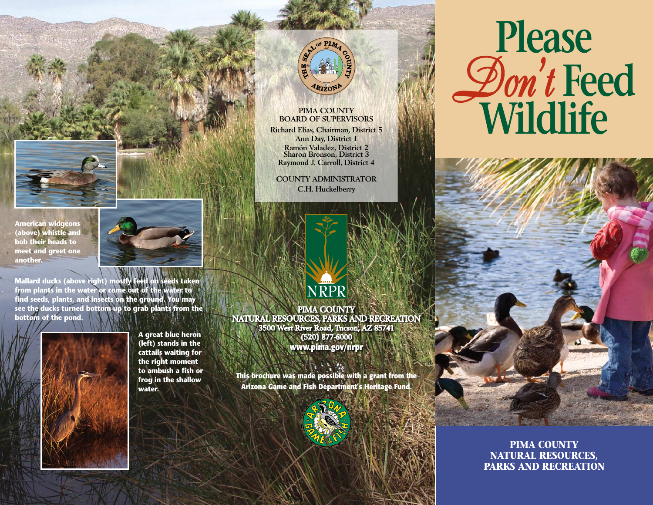

**American widgeons (above) whistle and bob their heads to meet and greet one another.**



**Mallard ducks (above right) mostly feed on seeds taken from plants in the water or come out of the water to find seeds, plants, and insects on the ground. You may see the ducks turned bottom-up to grab plants from the bottom of the pond.**



**A great blue heron (left) stands in the cattails waiting for the right moment to ambush a fish or frog in the shallow water.**



#### **PIMA COUNTY BOARD OF SUPERVISORS Richard Elías, Chairman, District 5**

**Ann Day, District 1 Ramón Valadez, District 2 Sharon Bronson, District 3 Raymond J. Carroll, District 4**

**COUNTY ADMINISTRATOR C.H. Huckelberry**



**PIMA COUNTY NATURAL RESOURCES, PARKS AND RECREATION 3500 West River Road, Tucson, AZ 85741 (520) 877-6000 www.pima.gov/nrpr**

**This brochure was made possible with a grant from the Arizona Game and Fish Department's Heritage Fund.**



# **Please** *Don't* **Feed Wildlife**

**PIMA COUNTY NATURAL RESOURCES, PARKS AND RECREATION**